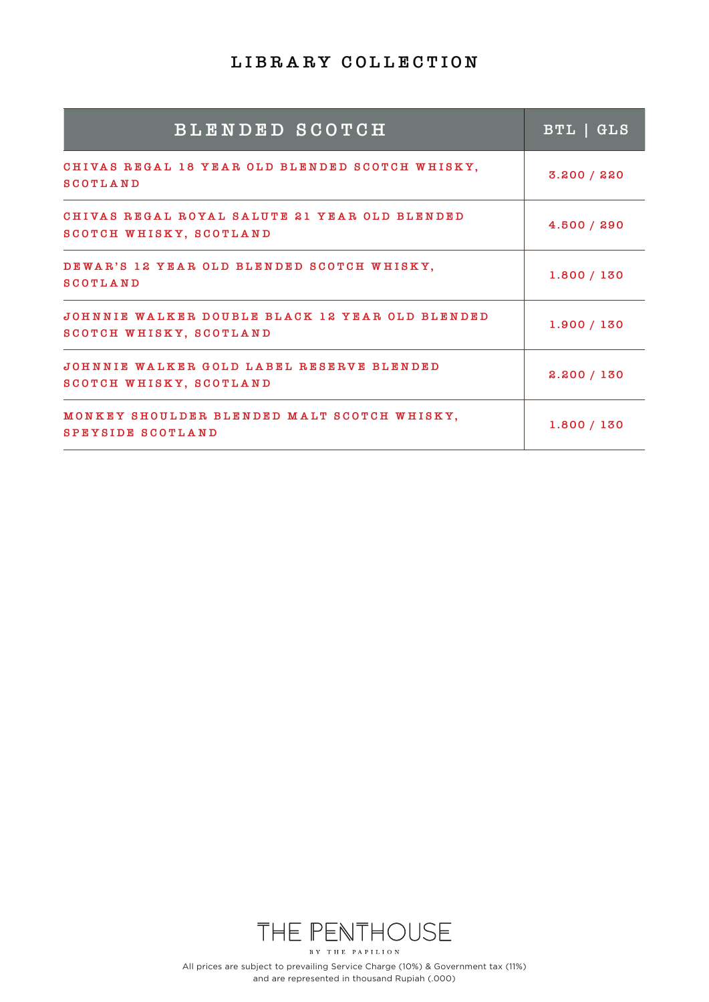| <b>BLENDED SCOTCH</b>                                                      | BTL GLS     |
|----------------------------------------------------------------------------|-------------|
| CHIVAS REGAL 18 YEAR OLD BLENDED SCOTCH WHISKY,<br><b>SCOTLAND</b>         | 3.200 / 220 |
| CHIVAS REGAL ROYAL SALUTE 21 YEAR OLD BLENDED<br>SCOTCH WHISKY, SCOTLAND   | 4.500 / 290 |
| DEWAR'S 12 YEAR OLD BLENDED SCOTCH WHISKY,<br><b>SCOTLAND</b>              | 1.800 / 130 |
| JOHNNIE WALKER DOUBLE BLACK 12 YEAR OLD BLENDED<br>SCOTCH WHISKY, SCOTLAND | 1.900 / 130 |
| JOHNNIE WALKER GOLD LABEL RESERVE BLENDED<br>SCOTCH WHISKY, SCOTLAND       | 2.200 / 130 |
| MONKEY SHOULDER BLENDED MALT SCOTCH WHISKY,<br>SPEYSIDE SCOTLAND           | 1.800 / 130 |

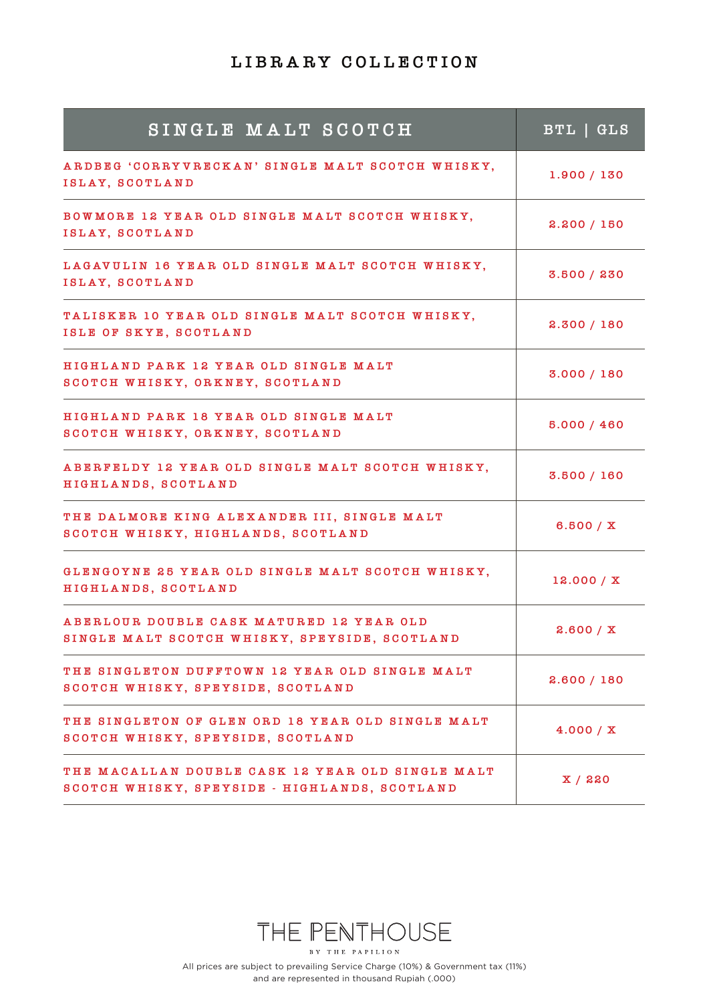| SINGLE MALT SCOTCH                                                                                | BTL   GLS    |
|---------------------------------------------------------------------------------------------------|--------------|
| ARDBEG 'CORRYVRECKAN' SINGLE MALT SCOTCH WHISKY,<br>ISLAY, SCOTLAND                               | 1.900 / 130  |
| BOWMORE 12 YEAR OLD SINGLE MALT SCOTCH WHISKY,<br>ISLAY, SCOTLAND                                 | 2.200 / 150  |
| LAGAVULIN 16 YEAR OLD SINGLE MALT SCOTCH WHISKY,<br>ISLAY, SCOTLAND                               | 3.500 / 230  |
| TALISKER 10 YEAR OLD SINGLE MALT SCOTCH WHISKY,<br>ISLE OF SKYE, SCOTLAND                         | 2.300 / 180  |
| HIGHLAND PARK 12 YEAR OLD SINGLE MALT<br>SCOTCH WHISKY, ORKNEY, SCOTLAND                          | 3.000 / 180  |
| HIGHLAND PARK 18 YEAR OLD SINGLE MALT<br>SCOTCH WHISKY, ORKNEY, SCOTLAND                          | 5.000 / 460  |
| ABERFELDY 12 YEAR OLD SINGLE MALT SCOTCH WHISKY,<br>HIGHLANDS, SCOTLAND                           | 3.500 / 160  |
| THE DALMORE KING ALEXANDER III, SINGLE MALT<br>SCOTCH WHISKY, HIGHLANDS, SCOTLAND                 | 6.500 / X    |
| GLENGOYNE 25 YEAR OLD SINGLE MALT SCOTCH WHISKY,<br>HIGHLANDS, SCOTLAND                           | 12.000 / X   |
| ABERLOUR DOUBLE CASK MATURED 12 YEAR OLD<br>SINGLE MALT SCOTCH WHISKY, SPEYSIDE, SCOTLAND         | 2.600 / X    |
| THE SINGLETON DUFFTOWN 12 YEAR OLD SINGLE MALT<br>SCOTCH WHISKY, SPEYSIDE, SCOTLAND               | 2.600 / 180  |
| THE SINGLETON OF GLEN ORD 18 YEAR OLD SINGLE MALT<br>SCOTCH WHISKY, SPEYSIDE, SCOTLAND            | 4.000 / X    |
| THE MACALLAN DOUBLE CASK 12 YEAR OLD SINGLE MALT<br>SCOTCH WHISKY, SPEYSIDE - HIGHLANDS, SCOTLAND | $X \mid$ 220 |

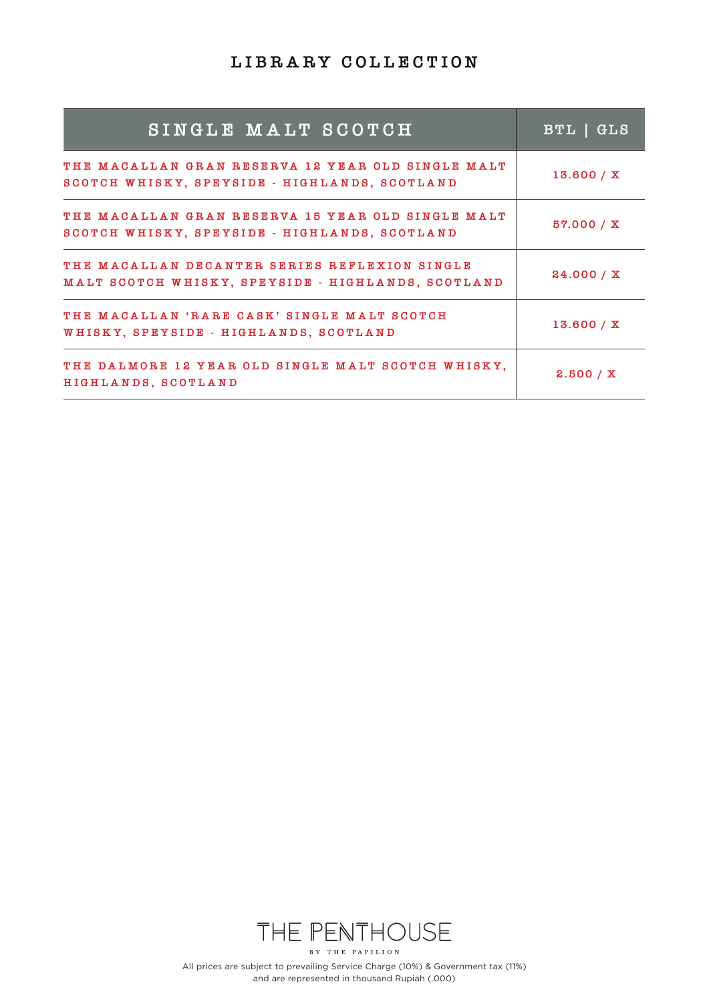| SINGLE MALT SCOTCH                                                                                  | BTL   GLS  |
|-----------------------------------------------------------------------------------------------------|------------|
| THE MACALLAN GRAN RESERVA 12 YEAR OLD SINGLE MALT<br>SCOTCH WHISKY, SPEYSIDE - HIGHLANDS, SCOTLAND  | 13.600 / X |
| THE MACALLAN GRAN RESERVA 15 YEAR OLD SINGLE MALT<br>SCOTCH WHISKY, SPEYSIDE - HIGHLANDS, SCOTLAND  | 57.000 / X |
| THE MACALLAN DECANTER SERIES REFLEXION SINGLE<br>MALT SCOTCH WHISKY, SPEYSIDE - HIGHLANDS, SCOTLAND | 24.000 / X |
| THE MACALLAN 'RARE CASK' SINGLE MALT SCOTCH<br>WHISKY, SPEYSIDE - HIGHLANDS, SCOTLAND               | 13.600 / X |
| THE DALMORE 12 YEAR OLD SINGLE MALT SCOTCH WHISKY.<br>HIGHLANDS, SCOTLAND                           | 2.500 / X  |

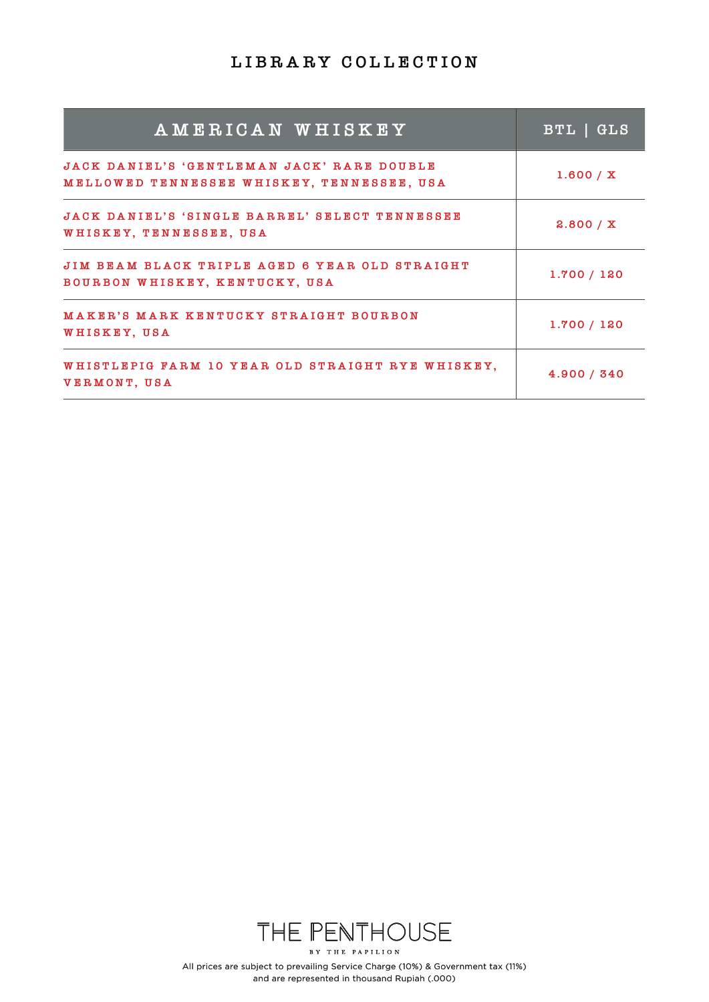| AMERICAN WHISKEY                                                                         | BTL   GLS   |
|------------------------------------------------------------------------------------------|-------------|
| JACK DANIEL'S 'GENTLEMAN JACK' RARE DOUBLE<br>MELLOWED TENNESSEE WHISKEY, TENNESSEE, USA | 1.600 / X   |
| JACK DANIEL'S 'SINGLE BARREL' SELECT TENNESSEE<br>WHISKEY, TENNESSEE, USA                | 2.800 / X   |
| JIM BEAM BLACK TRIPLE AGED 6 YEAR OLD STRAIGHT<br>BOURBON WHISKEY, KENTUCKY, USA         | 1.700 / 120 |
| MAKER'S MARK KENTUCKY STRAIGHT BOURBON<br>WHISKEY, USA                                   | 1.700 / 120 |
| WHISTLEPIG FARM 10 YEAR OLD STRAIGHT RYE WHISKEY,<br>VERMONT, USA                        | 4.900 / 340 |

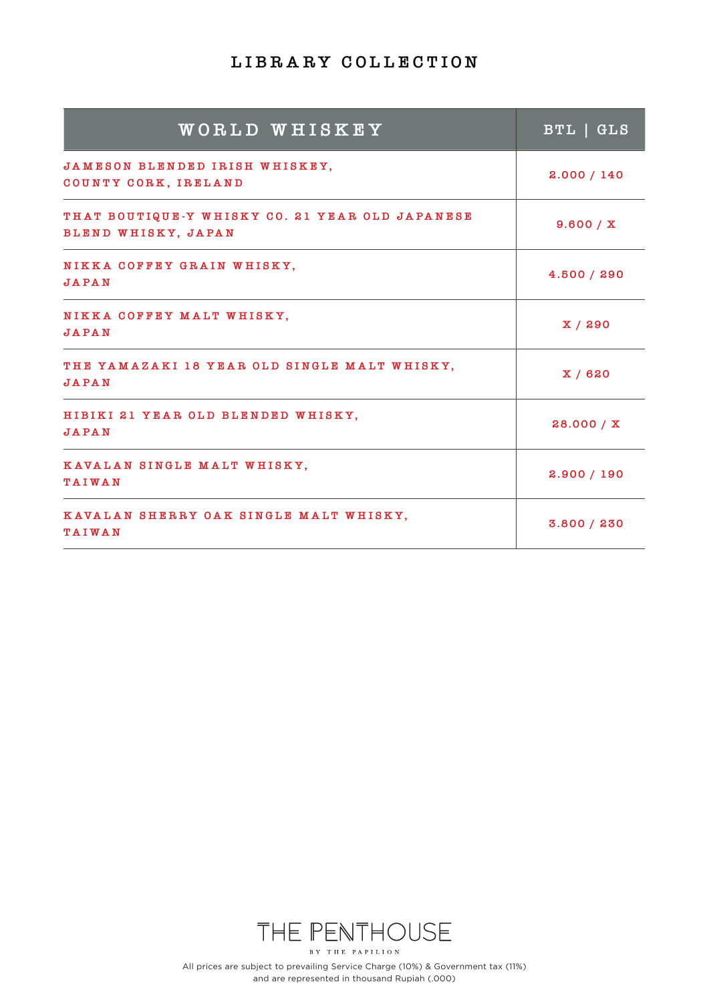| WORLD WHISKEY                                                          | BTL   GLS   |
|------------------------------------------------------------------------|-------------|
| JAMESON BLENDED IRISH WHISKEY,<br>COUNTY CORK, IRELAND                 | 2.000 / 140 |
| THAT BOUTIQUE-Y WHISKY CO. 21 YEAR OLD JAPANESE<br>BLEND WHISKY, JAPAN | 9.600 / X   |
| NIKKA COFFEY GRAIN WHISKY,<br><b>JAPAN</b>                             | 4.500 / 290 |
| NIKKA COFFEY MALT WHISKY,<br>JAPAN                                     | X/290       |
| THE YAMAZAKI 18 YEAR OLD SINGLE MALT WHISKY,<br><b>JAPAN</b>           | X/620       |
| HIBIKI 21 YEAR OLD BLENDED WHISKY,<br><b>JAPAN</b>                     | 28.000 / X  |
| KAVALAN SINGLE MALT WHISKY,<br>TAIWAN                                  | 2.900 / 190 |
| KAVALAN SHERRY OAK SINGLE MALT WHISKY,<br><b>TAIWAN</b>                | 3.800 / 230 |

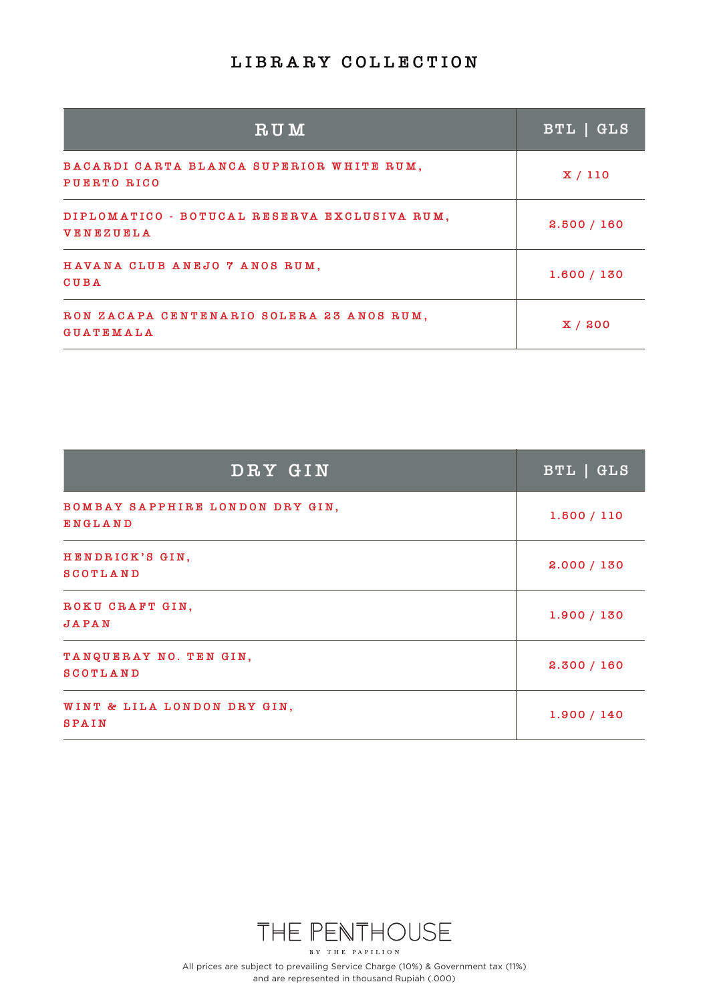| <b>RUM</b>                                                       | BTL   GLS   |
|------------------------------------------------------------------|-------------|
| BACARDI CARTA BLANCA SUPERIOR WHITE RUM,<br><b>PUERTO RICO</b>   | X/110       |
| DIPLOMATICO - BOTUCAL RESERVA EXCLUSIVA RUM,<br><b>VENEZUELA</b> | 2.500 / 160 |
| HAVANA CLUB ANEJO 7 ANOS RUM,<br><b>CUBA</b>                     | 1.600 / 130 |
| RON ZACAPA CENTENARIO SOLERA 23 ANOS RUM,<br><b>GUATEMALA</b>    | X/200       |

| DRY GIN                                     | BTL   GLS   |
|---------------------------------------------|-------------|
| BOMBAY SAPPHIRE LONDON DRY GIN,<br>ENGLAND  | 1.500 / 110 |
| HENDRICK'S GIN,<br><b>SCOTLAND</b>          | 2.000 / 130 |
| ROKU CRAFT GIN,<br><b>JAPAN</b>             | 1.900 / 130 |
| TANQUERAY NO. TEN GIN,<br><b>SCOTLAND</b>   | 2.300 / 160 |
| WINT & LILA LONDON DRY GIN,<br><b>SPAIN</b> | 1.900 / 140 |

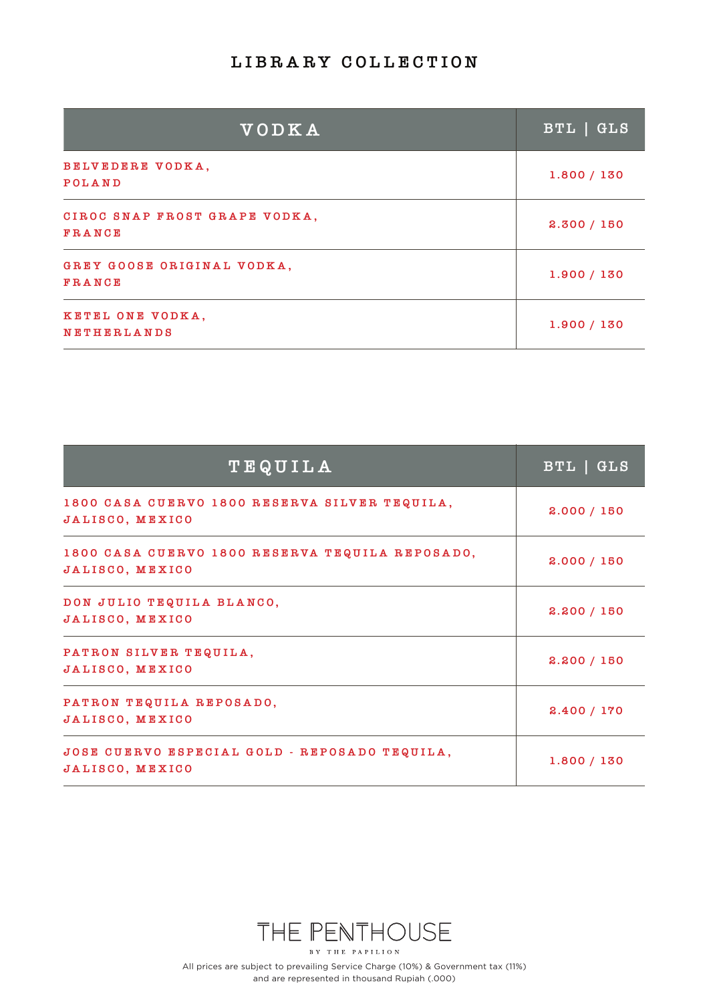| VODKA                                   | BTL   GLS   |
|-----------------------------------------|-------------|
| BELVEDERE VODKA,<br><b>POLAND</b>       | 1.800 / 130 |
| CIROC SNAP FROST GRAPE VODKA,<br>FRANCE | 2.300 / 150 |
| GREY GOOSE ORIGINAL VODKA,<br>FRANCE    | 1.900 / 130 |
| KETEL ONE VODKA,<br><b>NETHERLANDS</b>  | 1.900 / 130 |

| TEQUILA                                                            | BTL   GLS   |
|--------------------------------------------------------------------|-------------|
| 1800 CASA CUERVO 1800 RESERVA SILVER TEQUILA,<br>JALISCO, MEXICO   | 2.000 / 150 |
| 1800 CASA CUERVO 1800 RESERVA TEQUILA REPOSADO,<br>JALISCO, MEXICO | 2.000 / 150 |
| DON JULIO TEQUILA BLANCO,<br>JALISCO, MEXICO                       | 2.200 / 150 |
| PATRON SILVER TEQUILA,<br>JALISCO, MEXICO                          | 2.200 / 150 |
| PATRON TEQUILA REPOSADO,<br>JALISCO, MEXICO                        | 2.400 / 170 |
| JOSE CUERVO ESPECIAL GOLD - REPOSADO TEQUILA,<br>JALISCO, MEXICO   | 1.800 / 130 |

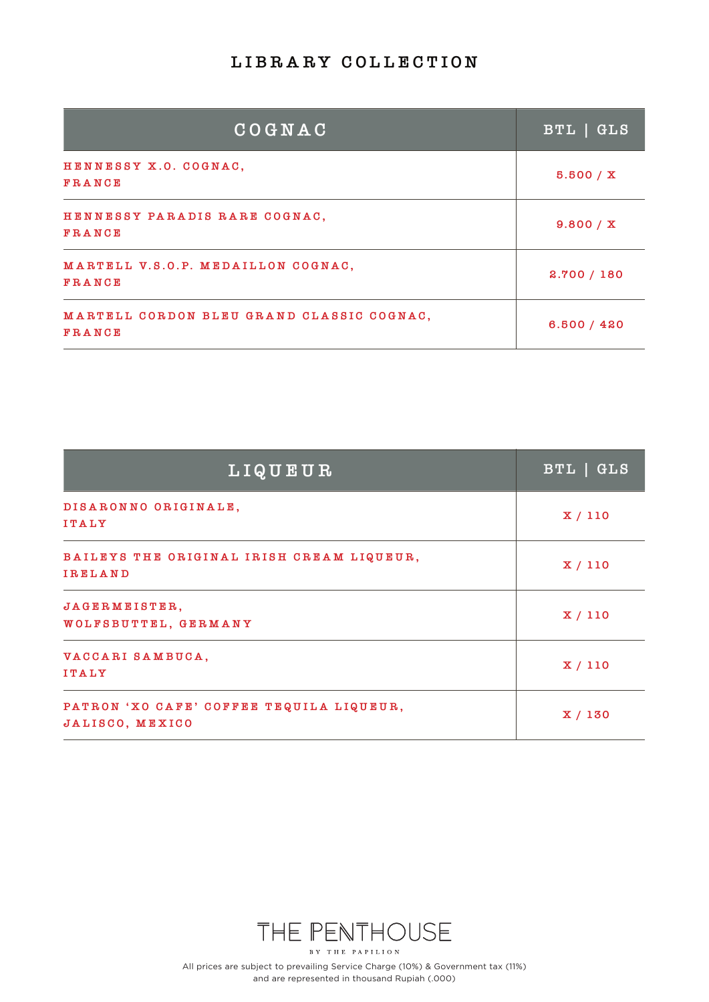| COGNAC                                              | BTL   GLS   |
|-----------------------------------------------------|-------------|
| HENNESSY X.O. COGNAC,<br>FRANCE                     | 5.500 / X   |
| HENNESSY PARADIS RARE COGNAC,<br><b>FRANCE</b>      | 9.800 / X   |
| MARTELL V.S.O.P. MEDAILLON COGNAC,<br><b>FRANCE</b> | 2.700 / 180 |
| MARTELL CORDON BLEU GRAND CLASSIC COGNAC,<br>FRANCE | 6.500 / 420 |

| LIQUEUR                                                     | BTL   GLS |
|-------------------------------------------------------------|-----------|
| DISARONNO ORIGINALE,<br><b>ITALY</b>                        | X/110     |
| BAILEYS THE ORIGINAL IRISH CREAM LIQUEUR,<br><b>IRELAND</b> | X/110     |
| JAGERMEISTER,<br>WOLFSBUTTEL, GERMANY                       | X/110     |
| VACCARI SAMBUCA,<br><b>ITALY</b>                            | X/110     |
| PATRON 'XO CAFE' COFFEE TEQUILA LIQUEUR,<br>JALISCO, MEXICO | X/130     |

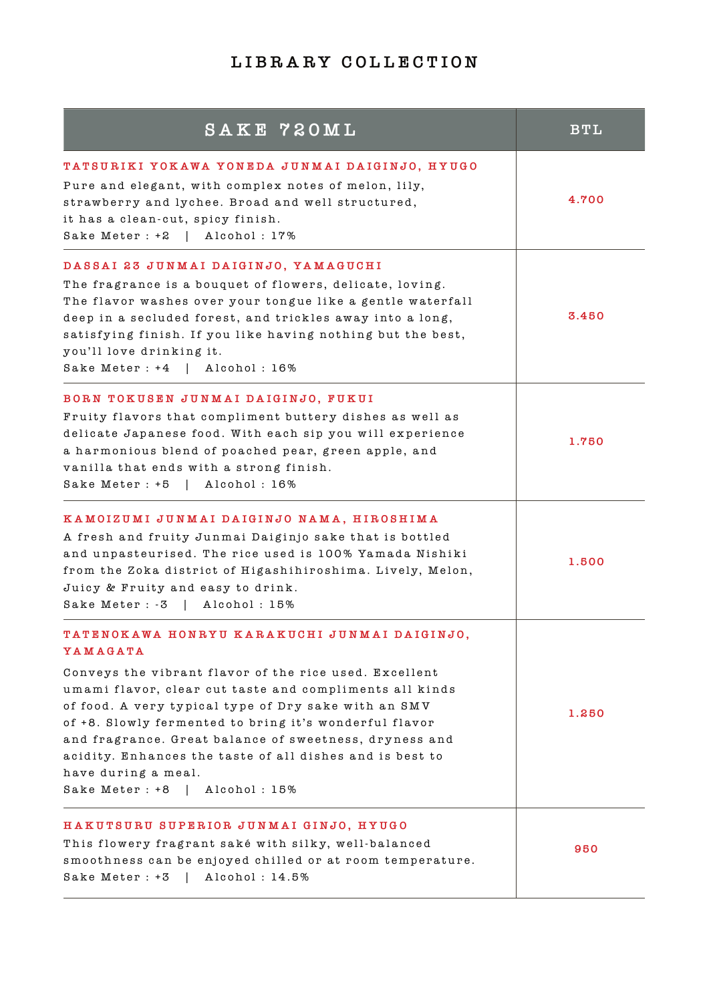| SAKE 720ML                                                                                                                                                                                                                                                                                                                                                                                                                                                                      | <b>BTL</b> |
|---------------------------------------------------------------------------------------------------------------------------------------------------------------------------------------------------------------------------------------------------------------------------------------------------------------------------------------------------------------------------------------------------------------------------------------------------------------------------------|------------|
| TATSURIKI YOKAWA YONEDA JUNMAI DAIGINJO, HYUGO<br>Pure and elegant, with complex notes of melon, lily,<br>strawberry and lychee. Broad and well structured,<br>it has a clean-cut, spicy finish.<br>Sake Meter : +2  <br>Alcohol: 17%                                                                                                                                                                                                                                           | 4.700      |
| DASSAI 23 JUNMAI DAIGINJO, YAMAGUCHI<br>The fragrance is a bouquet of flowers, delicate, loving.<br>The flavor washes over your tongue like a gentle waterfall<br>deep in a secluded forest, and trickles away into a long,<br>satisfying finish. If you like having nothing but the best,<br>you'll love drinking it.<br>Sake Meter : +4<br>Alcohol: 16%                                                                                                                       | 3.450      |
| BORN TOKUSEN JUNMAI DAIGINJO, FUKUI<br>Fruity flavors that compliment buttery dishes as well as<br>delicate Japanese food. With each sip you will experience<br>a harmonious blend of poached pear, green apple, and<br>vanilla that ends with a strong finish.<br>Alcohol: 16%<br>Sake Meter : +5                                                                                                                                                                              | 1.750      |
| KAMOIZUMI JUNMAI DAIGINJO NAMA, HIROSHIMA<br>A fresh and fruity Junmai Daiginjo sake that is bottled<br>and unpasteurised. The rice used is 100% Yamada Nishiki<br>from the Zoka district of Higashihiroshima. Lively, Melon,<br>Juicy & Fruity and easy to drink.<br>Sake Meter : -3<br>Alcohol: 15%                                                                                                                                                                           | 1.500      |
| TATENOKAWA HONRYU KARAKUCHI JUNMAI DAIGINJO,<br>YAMAGATA<br>Conveys the vibrant flavor of the rice used. Excellent<br>umami flavor, clear cut taste and compliments all kinds<br>of food. A very typical type of Dry sake with an SMV<br>of +8. Slowly fermented to bring it's wonderful flavor<br>and fragrance. Great balance of sweetness, dryness and<br>acidity. Enhances the taste of all dishes and is best to<br>have during a meal.<br>Sake Meter : +8<br>Alcohol: 15% | 1.250      |
| HAKUTSURU SUPERIOR JUNMAI GINJO, HYUGO<br>This flowery fragrant saké with silky, well-balanced<br>smoothness can be enjoyed chilled or at room temperature.<br>Sake Meter: +3<br>Alcohol: 14.5%                                                                                                                                                                                                                                                                                 | 950        |